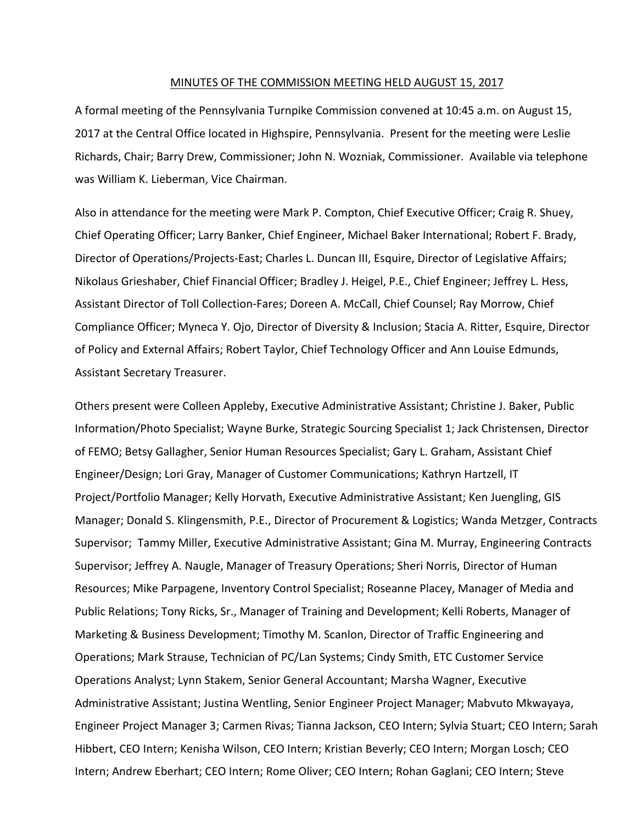#### MINUTES OF THE COMMISSION MEETING HELD AUGUST 15, 2017

A formal meeting of the Pennsylvania Turnpike Commission convened at 10:45 a.m. on August 15, 2017 at the Central Office located in Highspire, Pennsylvania. Present for the meeting were Leslie Richards, Chair; Barry Drew, Commissioner; John N. Wozniak, Commissioner. Available via telephone was William K. Lieberman, Vice Chairman.

Also in attendance for the meeting were Mark P. Compton, Chief Executive Officer; Craig R. Shuey, Chief Operating Officer; Larry Banker, Chief Engineer, Michael Baker International; Robert F. Brady, Director of Operations/Projects‐East; Charles L. Duncan III, Esquire, Director of Legislative Affairs; Nikolaus Grieshaber, Chief Financial Officer; Bradley J. Heigel, P.E., Chief Engineer; Jeffrey L. Hess, Assistant Director of Toll Collection‐Fares; Doreen A. McCall, Chief Counsel; Ray Morrow, Chief Compliance Officer; Myneca Y. Ojo, Director of Diversity & Inclusion; Stacia A. Ritter, Esquire, Director of Policy and External Affairs; Robert Taylor, Chief Technology Officer and Ann Louise Edmunds, Assistant Secretary Treasurer.

Others present were Colleen Appleby, Executive Administrative Assistant; Christine J. Baker, Public Information/Photo Specialist; Wayne Burke, Strategic Sourcing Specialist 1; Jack Christensen, Director of FEMO; Betsy Gallagher, Senior Human Resources Specialist; Gary L. Graham, Assistant Chief Engineer/Design; Lori Gray, Manager of Customer Communications; Kathryn Hartzell, IT Project/Portfolio Manager; Kelly Horvath, Executive Administrative Assistant; Ken Juengling, GIS Manager; Donald S. Klingensmith, P.E., Director of Procurement & Logistics; Wanda Metzger, Contracts Supervisor; Tammy Miller, Executive Administrative Assistant; Gina M. Murray, Engineering Contracts Supervisor; Jeffrey A. Naugle, Manager of Treasury Operations; Sheri Norris, Director of Human Resources; Mike Parpagene, Inventory Control Specialist; Roseanne Placey, Manager of Media and Public Relations; Tony Ricks, Sr., Manager of Training and Development; Kelli Roberts, Manager of Marketing & Business Development; Timothy M. Scanlon, Director of Traffic Engineering and Operations; Mark Strause, Technician of PC/Lan Systems; Cindy Smith, ETC Customer Service Operations Analyst; Lynn Stakem, Senior General Accountant; Marsha Wagner, Executive Administrative Assistant; Justina Wentling, Senior Engineer Project Manager; Mabvuto Mkwayaya, Engineer Project Manager 3; Carmen Rivas; Tianna Jackson, CEO Intern; Sylvia Stuart; CEO Intern; Sarah Hibbert, CEO Intern; Kenisha Wilson, CEO Intern; Kristian Beverly; CEO Intern; Morgan Losch; CEO Intern; Andrew Eberhart; CEO Intern; Rome Oliver; CEO Intern; Rohan Gaglani; CEO Intern; Steve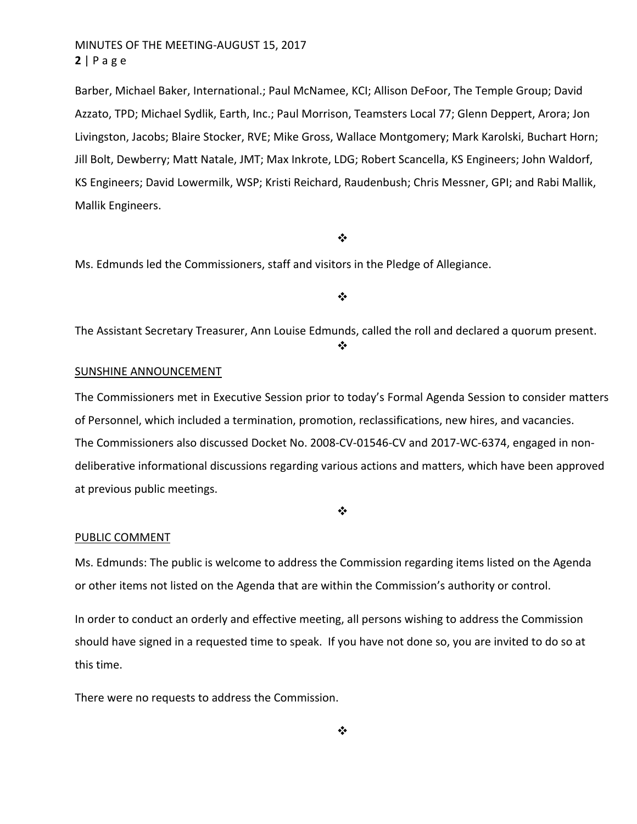Barber, Michael Baker, International.; Paul McNamee, KCI; Allison DeFoor, The Temple Group; David Azzato, TPD; Michael Sydlik, Earth, Inc.; Paul Morrison, Teamsters Local 77; Glenn Deppert, Arora; Jon Livingston, Jacobs; Blaire Stocker, RVE; Mike Gross, Wallace Montgomery; Mark Karolski, Buchart Horn; Jill Bolt, Dewberry; Matt Natale, JMT; Max Inkrote, LDG; Robert Scancella, KS Engineers; John Waldorf, KS Engineers; David Lowermilk, WSP; Kristi Reichard, Raudenbush; Chris Messner, GPI; and Rabi Mallik, Mallik Engineers.

#### $\frac{1}{2}$

Ms. Edmunds led the Commissioners, staff and visitors in the Pledge of Allegiance.

#### $\bullet$

The Assistant Secretary Treasurer, Ann Louise Edmunds, called the roll and declared a quorum present. ❖

#### SUNSHINE ANNOUNCEMENT

The Commissioners met in Executive Session prior to today's Formal Agenda Session to consider matters of Personnel, which included a termination, promotion, reclassifications, new hires, and vacancies. The Commissioners also discussed Docket No. 2008‐CV‐01546‐CV and 2017‐WC‐6374, engaged in non‐ deliberative informational discussions regarding various actions and matters, which have been approved at previous public meetings.

❖

### PUBLIC COMMENT

Ms. Edmunds: The public is welcome to address the Commission regarding items listed on the Agenda or other items not listed on the Agenda that are within the Commission's authority or control.

In order to conduct an orderly and effective meeting, all persons wishing to address the Commission should have signed in a requested time to speak. If you have not done so, you are invited to do so at this time.

There were no requests to address the Commission.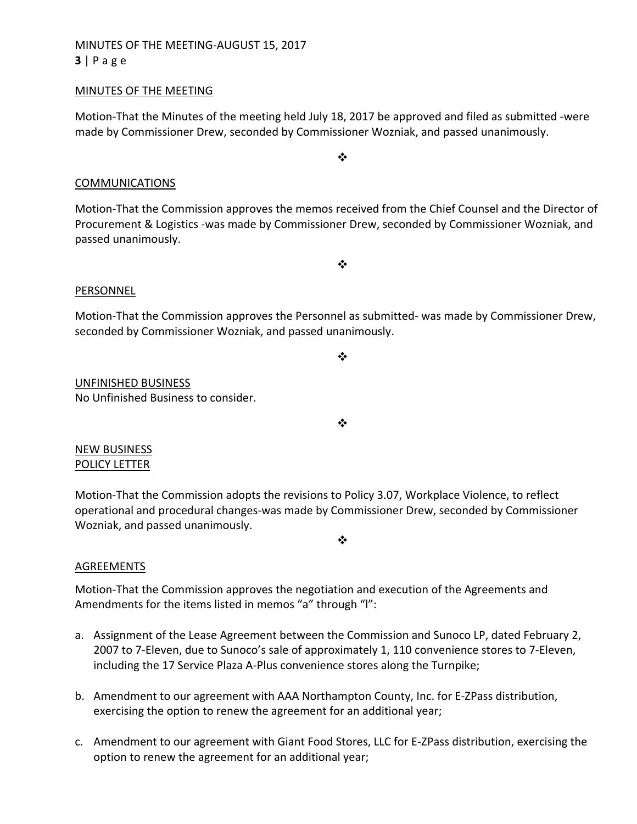# MINUTES OF THE MEETING‐AUGUST 15, 2017 **3** | Page

### MINUTES OF THE MEETING

Motion‐That the Minutes of the meeting held July 18, 2017 be approved and filed as submitted ‐were made by Commissioner Drew, seconded by Commissioner Wozniak, and passed unanimously.

### COMMUNICATIONS

Motion‐That the Commission approves the memos received from the Chief Counsel and the Director of Procurement & Logistics ‐was made by Commissioner Drew, seconded by Commissioner Wozniak, and passed unanimously.

❖

### PERSONNEL

Motion-That the Commission approves the Personnel as submitted- was made by Commissioner Drew, seconded by Commissioner Wozniak, and passed unanimously.

 $\bullet^{\bullet}_{\bullet} \bullet$ 

UNFINISHED BUSINESS No Unfinished Business to consider.

 $\cdot$ 

NEW BUSINESS POLICY LETTER

Motion‐That the Commission adopts the revisions to Policy 3.07, Workplace Violence, to reflect operational and procedural changes‐was made by Commissioner Drew, seconded by Commissioner Wozniak, and passed unanimously.

❖

### AGREEMENTS

Motion‐That the Commission approves the negotiation and execution of the Agreements and Amendments for the items listed in memos "a" through "l":

- a. Assignment of the Lease Agreement between the Commission and Sunoco LP, dated February 2, 2007 to 7‐Eleven, due to Sunoco's sale of approximately 1, 110 convenience stores to 7‐Eleven, including the 17 Service Plaza A‐Plus convenience stores along the Turnpike;
- b. Amendment to our agreement with AAA Northampton County, Inc. for E‐ZPass distribution, exercising the option to renew the agreement for an additional year;
- c. Amendment to our agreement with Giant Food Stores, LLC for E‐ZPass distribution, exercising the option to renew the agreement for an additional year;

❖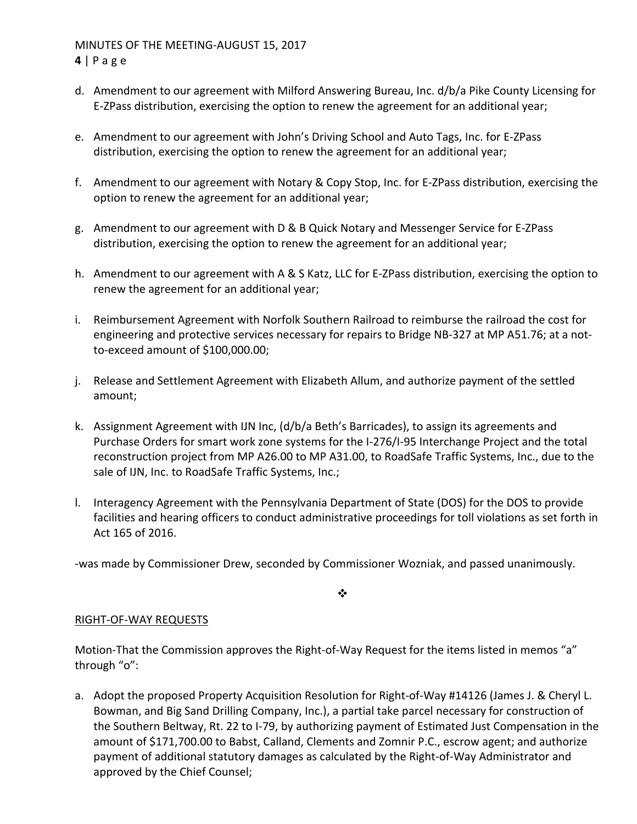## MINUTES OF THE MEETING‐AUGUST 15, 2017 **4** | Page

- d. Amendment to our agreement with Milford Answering Bureau, Inc. d/b/a Pike County Licensing for E‐ZPass distribution, exercising the option to renew the agreement for an additional year;
- e. Amendment to our agreement with John's Driving School and Auto Tags, Inc. for E‐ZPass distribution, exercising the option to renew the agreement for an additional year;
- f. Amendment to our agreement with Notary & Copy Stop, Inc. for E‐ZPass distribution, exercising the option to renew the agreement for an additional year;
- g. Amendment to our agreement with D & B Quick Notary and Messenger Service for E‐ZPass distribution, exercising the option to renew the agreement for an additional year;
- h. Amendment to our agreement with A & S Katz, LLC for E‐ZPass distribution, exercising the option to renew the agreement for an additional year;
- i. Reimbursement Agreement with Norfolk Southern Railroad to reimburse the railroad the cost for engineering and protective services necessary for repairs to Bridge NB‐327 at MP A51.76; at a not‐ to‐exceed amount of \$100,000.00;
- j. Release and Settlement Agreement with Elizabeth Allum, and authorize payment of the settled amount;
- k. Assignment Agreement with IJN Inc, (d/b/a Beth's Barricades), to assign its agreements and Purchase Orders for smart work zone systems for the I‐276/I‐95 Interchange Project and the total reconstruction project from MP A26.00 to MP A31.00, to RoadSafe Traffic Systems, Inc., due to the sale of IJN, Inc. to RoadSafe Traffic Systems, Inc.;
- l. Interagency Agreement with the Pennsylvania Department of State (DOS) for the DOS to provide facilities and hearing officers to conduct administrative proceedings for toll violations as set forth in Act 165 of 2016.

‐was made by Commissioner Drew, seconded by Commissioner Wozniak, and passed unanimously.

❖

## RIGHT‐OF‐WAY REQUESTS

Motion-That the Commission approves the Right-of-Way Request for the items listed in memos "a" through "o":

a. Adopt the proposed Property Acquisition Resolution for Right‐of‐Way #14126 (James J. & Cheryl L. Bowman, and Big Sand Drilling Company, Inc.), a partial take parcel necessary for construction of the Southern Beltway, Rt. 22 to I‐79, by authorizing payment of Estimated Just Compensation in the amount of \$171,700.00 to Babst, Calland, Clements and Zomnir P.C., escrow agent; and authorize payment of additional statutory damages as calculated by the Right‐of‐Way Administrator and approved by the Chief Counsel;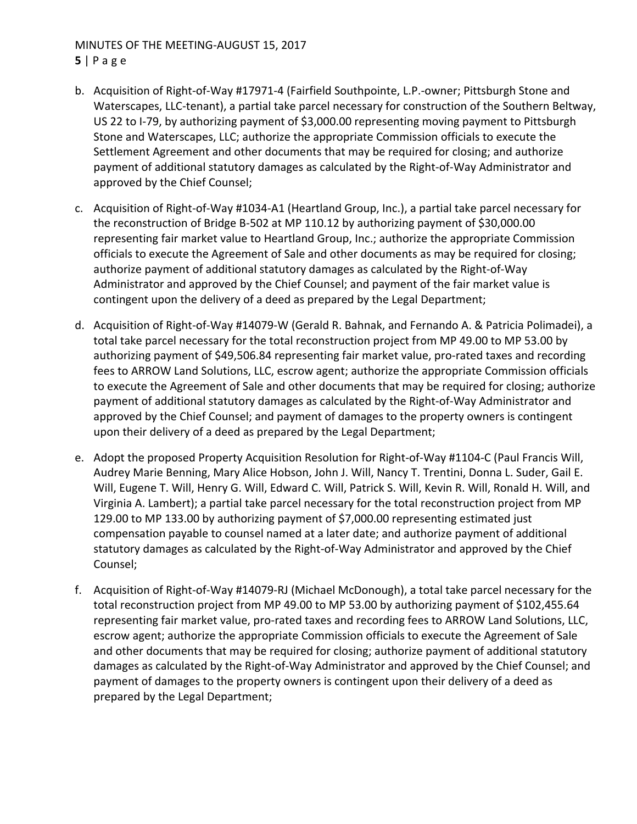# MINUTES OF THE MEETING‐AUGUST 15, 2017 **5** | Page

- b. Acquisition of Right‐of‐Way #17971‐4 (Fairfield Southpointe, L.P.‐owner; Pittsburgh Stone and Waterscapes, LLC‐tenant), a partial take parcel necessary for construction of the Southern Beltway, US 22 to I‐79, by authorizing payment of \$3,000.00 representing moving payment to Pittsburgh Stone and Waterscapes, LLC; authorize the appropriate Commission officials to execute the Settlement Agreement and other documents that may be required for closing; and authorize payment of additional statutory damages as calculated by the Right‐of‐Way Administrator and approved by the Chief Counsel;
- c. Acquisition of Right‐of‐Way #1034‐A1 (Heartland Group, Inc.), a partial take parcel necessary for the reconstruction of Bridge B‐502 at MP 110.12 by authorizing payment of \$30,000.00 representing fair market value to Heartland Group, Inc.; authorize the appropriate Commission officials to execute the Agreement of Sale and other documents as may be required for closing; authorize payment of additional statutory damages as calculated by the Right‐of‐Way Administrator and approved by the Chief Counsel; and payment of the fair market value is contingent upon the delivery of a deed as prepared by the Legal Department;
- d. Acquisition of Right‐of‐Way #14079‐W (Gerald R. Bahnak, and Fernando A. & Patricia Polimadei), a total take parcel necessary for the total reconstruction project from MP 49.00 to MP 53.00 by authorizing payment of \$49,506.84 representing fair market value, pro‐rated taxes and recording fees to ARROW Land Solutions, LLC, escrow agent; authorize the appropriate Commission officials to execute the Agreement of Sale and other documents that may be required for closing; authorize payment of additional statutory damages as calculated by the Right‐of‐Way Administrator and approved by the Chief Counsel; and payment of damages to the property owners is contingent upon their delivery of a deed as prepared by the Legal Department;
- e. Adopt the proposed Property Acquisition Resolution for Right‐of‐Way #1104‐C (Paul Francis Will, Audrey Marie Benning, Mary Alice Hobson, John J. Will, Nancy T. Trentini, Donna L. Suder, Gail E. Will, Eugene T. Will, Henry G. Will, Edward C. Will, Patrick S. Will, Kevin R. Will, Ronald H. Will, and Virginia A. Lambert); a partial take parcel necessary for the total reconstruction project from MP 129.00 to MP 133.00 by authorizing payment of \$7,000.00 representing estimated just compensation payable to counsel named at a later date; and authorize payment of additional statutory damages as calculated by the Right‐of‐Way Administrator and approved by the Chief Counsel;
- f. Acquisition of Right‐of‐Way #14079‐RJ (Michael McDonough), a total take parcel necessary for the total reconstruction project from MP 49.00 to MP 53.00 by authorizing payment of \$102,455.64 representing fair market value, pro‐rated taxes and recording fees to ARROW Land Solutions, LLC, escrow agent; authorize the appropriate Commission officials to execute the Agreement of Sale and other documents that may be required for closing; authorize payment of additional statutory damages as calculated by the Right‐of‐Way Administrator and approved by the Chief Counsel; and payment of damages to the property owners is contingent upon their delivery of a deed as prepared by the Legal Department;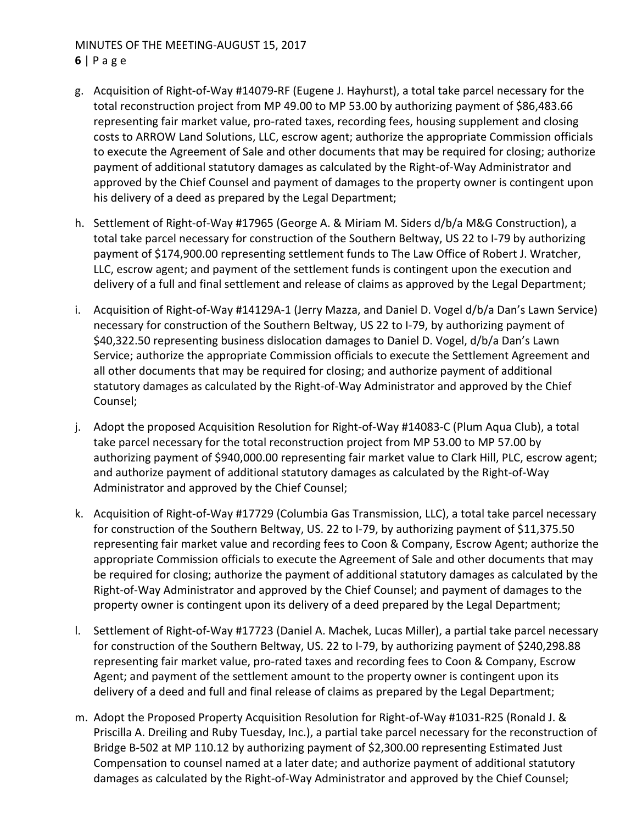### MINUTES OF THE MEETING‐AUGUST 15, 2017 **6** | Page

- g. Acquisition of Right‐of‐Way #14079‐RF (Eugene J. Hayhurst), a total take parcel necessary for the total reconstruction project from MP 49.00 to MP 53.00 by authorizing payment of \$86,483.66 representing fair market value, pro-rated taxes, recording fees, housing supplement and closing costs to ARROW Land Solutions, LLC, escrow agent; authorize the appropriate Commission officials to execute the Agreement of Sale and other documents that may be required for closing; authorize payment of additional statutory damages as calculated by the Right‐of‐Way Administrator and approved by the Chief Counsel and payment of damages to the property owner is contingent upon his delivery of a deed as prepared by the Legal Department;
- h. Settlement of Right-of-Way #17965 (George A. & Miriam M. Siders d/b/a M&G Construction), a total take parcel necessary for construction of the Southern Beltway, US 22 to I‐79 by authorizing payment of \$174,900.00 representing settlement funds to The Law Office of Robert J. Wratcher, LLC, escrow agent; and payment of the settlement funds is contingent upon the execution and delivery of a full and final settlement and release of claims as approved by the Legal Department;
- i. Acquisition of Right‐of‐Way #14129A‐1 (Jerry Mazza, and Daniel D. Vogel d/b/a Dan's Lawn Service) necessary for construction of the Southern Beltway, US 22 to I‐79, by authorizing payment of \$40,322.50 representing business dislocation damages to Daniel D. Vogel, d/b/a Dan's Lawn Service; authorize the appropriate Commission officials to execute the Settlement Agreement and all other documents that may be required for closing; and authorize payment of additional statutory damages as calculated by the Right‐of‐Way Administrator and approved by the Chief Counsel;
- j. Adopt the proposed Acquisition Resolution for Right‐of‐Way #14083‐C (Plum Aqua Club), a total take parcel necessary for the total reconstruction project from MP 53.00 to MP 57.00 by authorizing payment of \$940,000.00 representing fair market value to Clark Hill, PLC, escrow agent; and authorize payment of additional statutory damages as calculated by the Right‐of‐Way Administrator and approved by the Chief Counsel;
- k. Acquisition of Right‐of‐Way #17729 (Columbia Gas Transmission, LLC), a total take parcel necessary for construction of the Southern Beltway, US. 22 to I‐79, by authorizing payment of \$11,375.50 representing fair market value and recording fees to Coon & Company, Escrow Agent; authorize the appropriate Commission officials to execute the Agreement of Sale and other documents that may be required for closing; authorize the payment of additional statutory damages as calculated by the Right‐of‐Way Administrator and approved by the Chief Counsel; and payment of damages to the property owner is contingent upon its delivery of a deed prepared by the Legal Department;
- l. Settlement of Right‐of‐Way #17723 (Daniel A. Machek, Lucas Miller), a partial take parcel necessary for construction of the Southern Beltway, US. 22 to I‐79, by authorizing payment of \$240,298.88 representing fair market value, pro‐rated taxes and recording fees to Coon & Company, Escrow Agent; and payment of the settlement amount to the property owner is contingent upon its delivery of a deed and full and final release of claims as prepared by the Legal Department;
- m. Adopt the Proposed Property Acquisition Resolution for Right‐of‐Way #1031‐R25 (Ronald J. & Priscilla A. Dreiling and Ruby Tuesday, Inc.), a partial take parcel necessary for the reconstruction of Bridge B-502 at MP 110.12 by authorizing payment of \$2,300.00 representing Estimated Just Compensation to counsel named at a later date; and authorize payment of additional statutory damages as calculated by the Right‐of‐Way Administrator and approved by the Chief Counsel;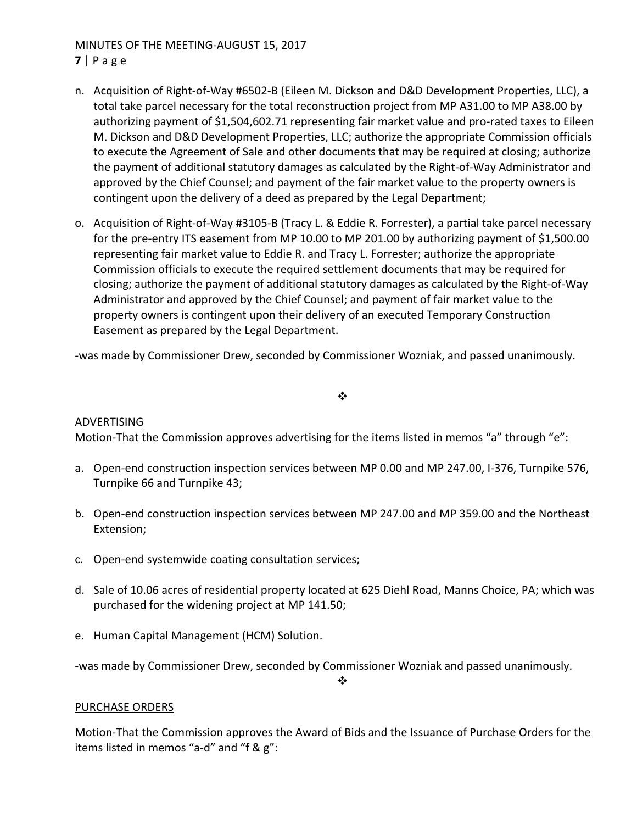## MINUTES OF THE MEETING‐AUGUST 15, 2017 **7** | Page

- n. Acquisition of Right‐of‐Way #6502‐B (Eileen M. Dickson and D&D Development Properties, LLC), a total take parcel necessary for the total reconstruction project from MP A31.00 to MP A38.00 by authorizing payment of \$1,504,602.71 representing fair market value and pro‐rated taxes to Eileen M. Dickson and D&D Development Properties, LLC; authorize the appropriate Commission officials to execute the Agreement of Sale and other documents that may be required at closing; authorize the payment of additional statutory damages as calculated by the Right‐of‐Way Administrator and approved by the Chief Counsel; and payment of the fair market value to the property owners is contingent upon the delivery of a deed as prepared by the Legal Department;
- o. Acquisition of Right‐of‐Way #3105‐B (Tracy L. & Eddie R. Forrester), a partial take parcel necessary for the pre-entry ITS easement from MP 10.00 to MP 201.00 by authorizing payment of \$1,500.00 representing fair market value to Eddie R. and Tracy L. Forrester; authorize the appropriate Commission officials to execute the required settlement documents that may be required for closing; authorize the payment of additional statutory damages as calculated by the Right‐of‐Way Administrator and approved by the Chief Counsel; and payment of fair market value to the property owners is contingent upon their delivery of an executed Temporary Construction Easement as prepared by the Legal Department.

‐was made by Commissioner Drew, seconded by Commissioner Wozniak, and passed unanimously.

### $\frac{1}{2}$

### ADVERTISING

Motion-That the Commission approves advertising for the items listed in memos "a" through "e":

- a. Open-end construction inspection services between MP 0.00 and MP 247.00, I-376, Turnpike 576, Turnpike 66 and Turnpike 43;
- b. Open‐end construction inspection services between MP 247.00 and MP 359.00 and the Northeast Extension;
- c. Open‐end systemwide coating consultation services;
- d. Sale of 10.06 acres of residential property located at 625 Diehl Road, Manns Choice, PA; which was purchased for the widening project at MP 141.50;
- e. Human Capital Management (HCM) Solution.

‐was made by Commissioner Drew, seconded by Commissioner Wozniak and passed unanimously.

❖

### PURCHASE ORDERS

Motion‐That the Commission approves the Award of Bids and the Issuance of Purchase Orders for the items listed in memos "a‐d" and "f & g":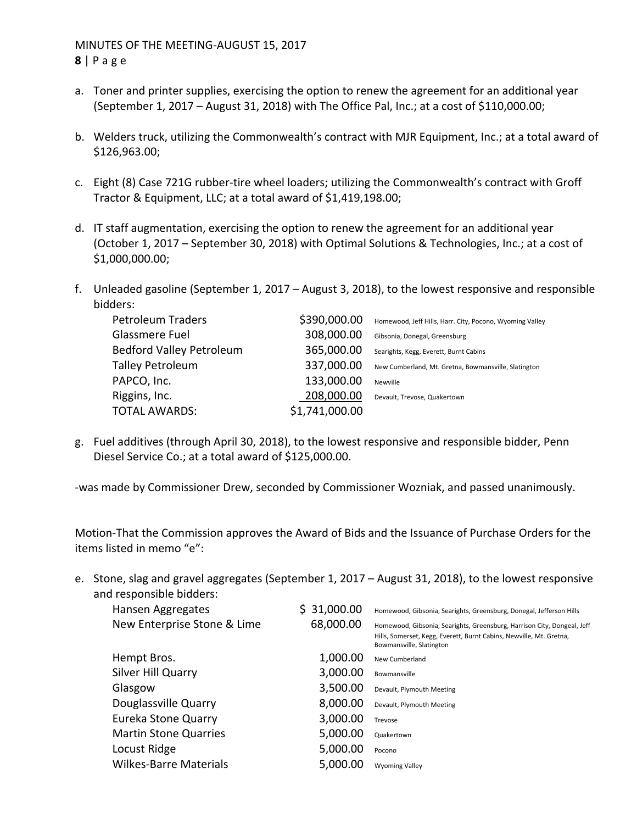- a. Toner and printer supplies, exercising the option to renew the agreement for an additional year (September 1, 2017 – August 31, 2018) with The Office Pal, Inc.; at a cost of \$110,000.00;
- b. Welders truck, utilizing the Commonwealth's contract with MJR Equipment, Inc.; at a total award of \$126,963.00;
- c. Eight (8) Case 721G rubber‐tire wheel loaders; utilizing the Commonwealth's contract with Groff Tractor & Equipment, LLC; at a total award of \$1,419,198.00;
- d. IT staff augmentation, exercising the option to renew the agreement for an additional year (October 1, 2017 – September 30, 2018) with Optimal Solutions & Technologies, Inc.; at a cost of \$1,000,000.00;
- f. Unleaded gasoline (September 1, 2017 August 3, 2018), to the lowest responsive and responsible bidders:

| <b>Petroleum Traders</b>        | \$390,000.00   | Homewood, Jeff Hills, Harr. City, Pocono, Wyoming Valley |
|---------------------------------|----------------|----------------------------------------------------------|
| Glassmere Fuel                  | 308,000.00     | Gibsonia, Donegal, Greensburg                            |
| <b>Bedford Valley Petroleum</b> | 365,000.00     | Searights, Kegg, Everett, Burnt Cabins                   |
| <b>Talley Petroleum</b>         | 337,000.00     | New Cumberland, Mt. Gretna, Bowmansville, Slatington     |
| PAPCO, Inc.                     | 133,000.00     | Newville                                                 |
| Riggins, Inc.                   | 208,000.00     | Devault, Trevose, Quakertown                             |
| <b>TOTAL AWARDS:</b>            | \$1,741,000.00 |                                                          |

g. Fuel additives (through April 30, 2018), to the lowest responsive and responsible bidder, Penn Diesel Service Co.; at a total award of \$125,000.00.

‐was made by Commissioner Drew, seconded by Commissioner Wozniak, and passed unanimously.

Motion‐That the Commission approves the Award of Bids and the Issuance of Purchase Orders for the items listed in memo "e":

e. Stone, slag and gravel aggregates (September 1, 2017 – August 31, 2018), to the lowest responsive and responsible bidders:

| Hansen Aggregates             | \$31,000.00 | Homewood, Gibsonia, Searights, Greensburg, Donegal, Jefferson Hills                                                                                                        |
|-------------------------------|-------------|----------------------------------------------------------------------------------------------------------------------------------------------------------------------------|
| New Enterprise Stone & Lime   | 68,000.00   | Homewood, Gibsonia, Searights, Greensburg, Harrison City, Dongeal, Jeff<br>Hills, Somerset, Kegg, Everett, Burnt Cabins, Newville, Mt. Gretna,<br>Bowmansville, Slatington |
| Hempt Bros.                   | 1,000.00    | New Cumberland                                                                                                                                                             |
| Silver Hill Quarry            | 3,000.00    | Bowmansville                                                                                                                                                               |
| Glasgow                       | 3,500.00    | Devault, Plymouth Meeting                                                                                                                                                  |
| Douglassville Quarry          | 8,000.00    | Devault, Plymouth Meeting                                                                                                                                                  |
| Eureka Stone Quarry           | 3,000.00    | Trevose                                                                                                                                                                    |
| <b>Martin Stone Quarries</b>  | 5,000.00    | Quakertown                                                                                                                                                                 |
| Locust Ridge                  | 5,000.00    | Pocono                                                                                                                                                                     |
| <b>Wilkes-Barre Materials</b> | 5,000.00    | <b>Wyoming Valley</b>                                                                                                                                                      |
|                               |             |                                                                                                                                                                            |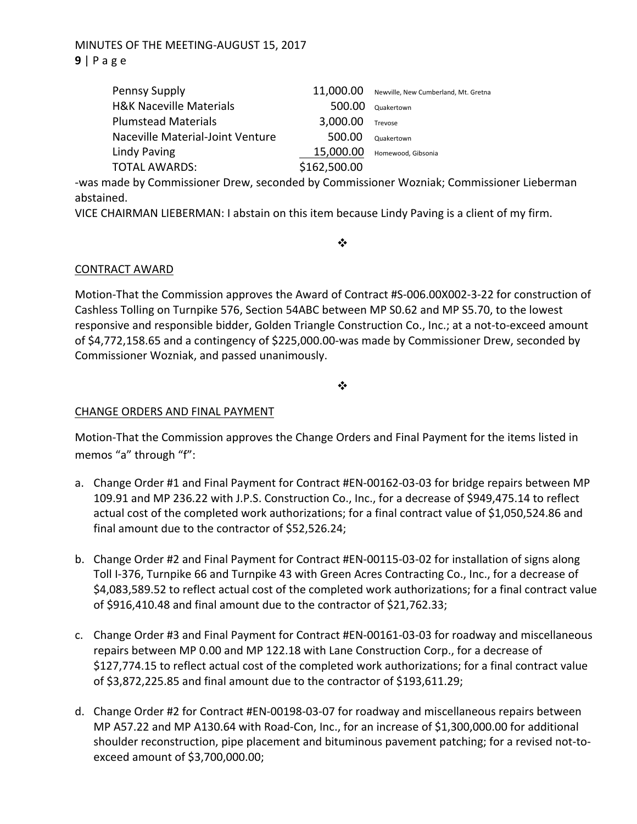# MINUTES OF THE MEETING‐AUGUST 15, 2017 **9** | Page

| Pennsy Supply                      | 11,000.00    | Newville, New Cumberland, Mt. Gretna |
|------------------------------------|--------------|--------------------------------------|
| <b>H&amp;K Naceville Materials</b> | 500.00       | Quakertown                           |
| <b>Plumstead Materials</b>         | 3,000.00     | Trevose                              |
| Naceville Material-Joint Venture   | 500.00       | Quakertown                           |
| <b>Lindy Paving</b>                | 15,000.00    | Homewood, Gibsonia                   |
| <b>TOTAL AWARDS:</b>               | \$162,500.00 |                                      |

‐was made by Commissioner Drew, seconded by Commissioner Wozniak; Commissioner Lieberman abstained.

VICE CHAIRMAN LIEBERMAN: I abstain on this item because Lindy Paving is a client of my firm.

 $\frac{1}{2}$ 

## CONTRACT AWARD

Motion‐That the Commission approves the Award of Contract #S‐006.00X002‐3‐22 for construction of Cashless Tolling on Turnpike 576, Section 54ABC between MP S0.62 and MP S5.70, to the lowest responsive and responsible bidder, Golden Triangle Construction Co., Inc.; at a not-to-exceed amount of \$4,772,158.65 and a contingency of \$225,000.00‐was made by Commissioner Drew, seconded by Commissioner Wozniak, and passed unanimously.

 $\frac{1}{2}$ 

### CHANGE ORDERS AND FINAL PAYMENT

Motion‐That the Commission approves the Change Orders and Final Payment for the items listed in memos "a" through "f":

- a. Change Order #1 and Final Payment for Contract #EN‐00162‐03‐03 for bridge repairs between MP 109.91 and MP 236.22 with J.P.S. Construction Co., Inc., for a decrease of \$949,475.14 to reflect actual cost of the completed work authorizations; for a final contract value of \$1,050,524.86 and final amount due to the contractor of \$52,526.24;
- b. Change Order #2 and Final Payment for Contract #EN‐00115‐03‐02 for installation of signs along Toll I‐376, Turnpike 66 and Turnpike 43 with Green Acres Contracting Co., Inc., for a decrease of \$4,083,589.52 to reflect actual cost of the completed work authorizations; for a final contract value of \$916,410.48 and final amount due to the contractor of \$21,762.33;
- c. Change Order #3 and Final Payment for Contract #EN‐00161‐03‐03 for roadway and miscellaneous repairs between MP 0.00 and MP 122.18 with Lane Construction Corp., for a decrease of \$127,774.15 to reflect actual cost of the completed work authorizations; for a final contract value of \$3,872,225.85 and final amount due to the contractor of \$193,611.29;
- d. Change Order #2 for Contract #EN‐00198‐03‐07 for roadway and miscellaneous repairs between MP A57.22 and MP A130.64 with Road‐Con, Inc., for an increase of \$1,300,000.00 for additional shoulder reconstruction, pipe placement and bituminous pavement patching; for a revised not‐to‐ exceed amount of \$3,700,000.00;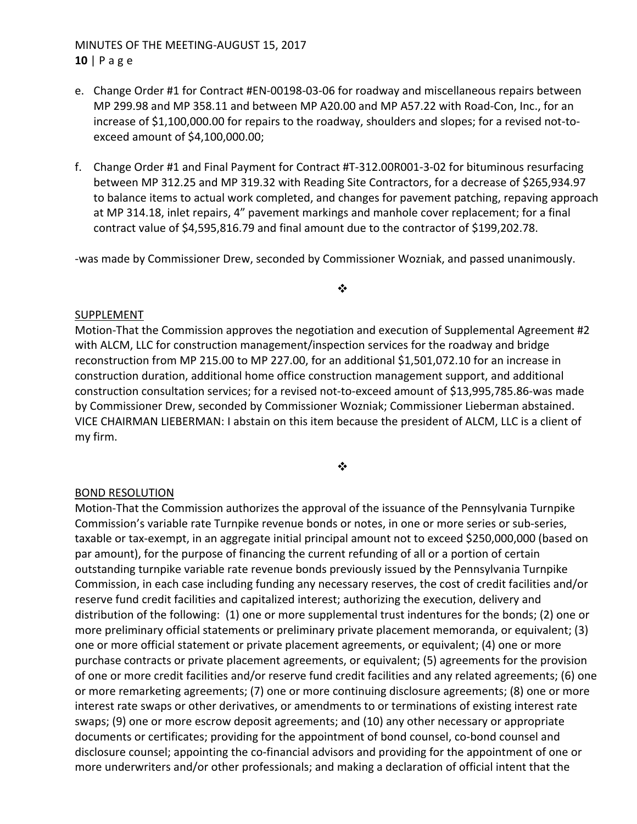# MINUTES OF THE MEETING‐AUGUST 15, 2017 **10** | Page

- e. Change Order #1 for Contract #EN‐00198‐03‐06 for roadway and miscellaneous repairs between MP 299.98 and MP 358.11 and between MP A20.00 and MP A57.22 with Road‐Con, Inc., for an increase of \$1,100,000.00 for repairs to the roadway, shoulders and slopes; for a revised not‐to‐ exceed amount of \$4,100,000.00;
- f. Change Order #1 and Final Payment for Contract #T‐312.00R001‐3‐02 for bituminous resurfacing between MP 312.25 and MP 319.32 with Reading Site Contractors, for a decrease of \$265,934.97 to balance items to actual work completed, and changes for pavement patching, repaving approach at MP 314.18, inlet repairs, 4" pavement markings and manhole cover replacement; for a final contract value of \$4,595,816.79 and final amount due to the contractor of \$199,202.78.

‐was made by Commissioner Drew, seconded by Commissioner Wozniak, and passed unanimously.

❖

### SUPPLEMENT

Motion-That the Commission approves the negotiation and execution of Supplemental Agreement #2 with ALCM, LLC for construction management/inspection services for the roadway and bridge reconstruction from MP 215.00 to MP 227.00, for an additional \$1,501,072.10 for an increase in construction duration, additional home office construction management support, and additional construction consultation services; for a revised not‐to‐exceed amount of \$13,995,785.86‐was made by Commissioner Drew, seconded by Commissioner Wozniak; Commissioner Lieberman abstained. VICE CHAIRMAN LIEBERMAN: I abstain on this item because the president of ALCM, LLC is a client of my firm.

❖

### BOND RESOLUTION

Motion‐That the Commission authorizes the approval of the issuance of the Pennsylvania Turnpike Commission's variable rate Turnpike revenue bonds or notes, in one or more series or sub‐series, taxable or tax‐exempt, in an aggregate initial principal amount not to exceed \$250,000,000 (based on par amount), for the purpose of financing the current refunding of all or a portion of certain outstanding turnpike variable rate revenue bonds previously issued by the Pennsylvania Turnpike Commission, in each case including funding any necessary reserves, the cost of credit facilities and/or reserve fund credit facilities and capitalized interest; authorizing the execution, delivery and distribution of the following: (1) one or more supplemental trust indentures for the bonds; (2) one or more preliminary official statements or preliminary private placement memoranda, or equivalent; (3) one or more official statement or private placement agreements, or equivalent; (4) one or more purchase contracts or private placement agreements, or equivalent; (5) agreements for the provision of one or more credit facilities and/or reserve fund credit facilities and any related agreements; (6) one or more remarketing agreements; (7) one or more continuing disclosure agreements; (8) one or more interest rate swaps or other derivatives, or amendments to or terminations of existing interest rate swaps; (9) one or more escrow deposit agreements; and (10) any other necessary or appropriate documents or certificates; providing for the appointment of bond counsel, co‐bond counsel and disclosure counsel; appointing the co-financial advisors and providing for the appointment of one or more underwriters and/or other professionals; and making a declaration of official intent that the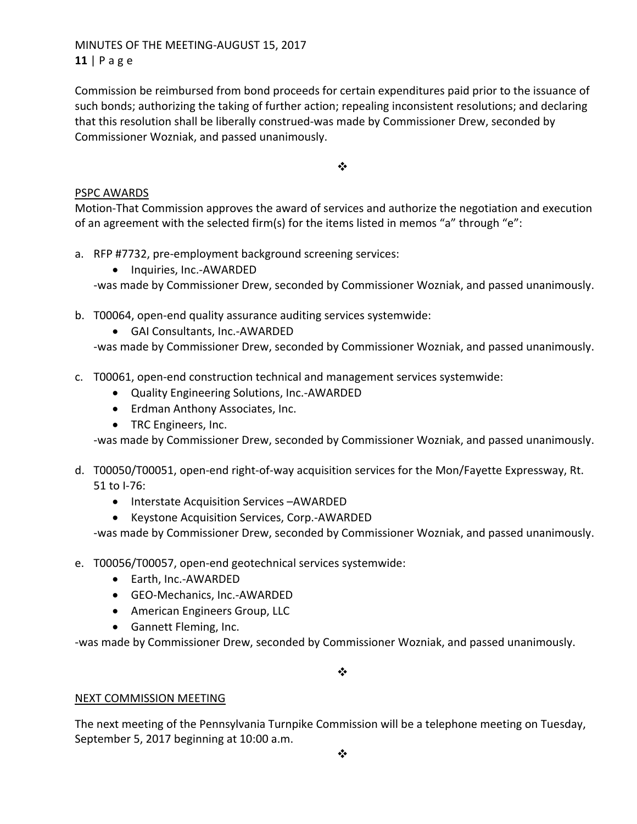MINUTES OF THE MEETING‐AUGUST 15, 2017 **11** | Page

Commission be reimbursed from bond proceeds for certain expenditures paid prior to the issuance of such bonds; authorizing the taking of further action; repealing inconsistent resolutions; and declaring that this resolution shall be liberally construed‐was made by Commissioner Drew, seconded by Commissioner Wozniak, and passed unanimously.

 $\frac{1}{2}$ 

## PSPC AWARDS

Motion‐That Commission approves the award of services and authorize the negotiation and execution of an agreement with the selected firm(s) for the items listed in memos "a" through "e":

- a. RFP #7732, pre-employment background screening services:
	- Inquiries, Inc.-AWARDED

‐was made by Commissioner Drew, seconded by Commissioner Wozniak, and passed unanimously.

- b. T00064, open-end quality assurance auditing services systemwide:
	- GAI Consultants, Inc.-AWARDED

‐was made by Commissioner Drew, seconded by Commissioner Wozniak, and passed unanimously.

- c. T00061, open‐end construction technical and management services systemwide:
	- Quality Engineering Solutions, Inc.-AWARDED
	- Erdman Anthony Associates, Inc.
	- TRC Engineers, Inc.

‐was made by Commissioner Drew, seconded by Commissioner Wozniak, and passed unanimously.

- d. T00050/T00051, open‐end right‐of‐way acquisition services for the Mon/Fayette Expressway, Rt. 51 to I‐76:
	- Interstate Acquisition Services –AWARDED
	- Keystone Acquisition Services, Corp.-AWARDED

‐was made by Commissioner Drew, seconded by Commissioner Wozniak, and passed unanimously.

- e. T00056/T00057, open‐end geotechnical services systemwide:
	- Earth, Inc.-AWARDED
	- GEO-Mechanics, Inc.-AWARDED
	- American Engineers Group, LLC
	- Gannett Fleming, Inc.

‐was made by Commissioner Drew, seconded by Commissioner Wozniak, and passed unanimously.

 $\bullet^{\bullet}_{\bullet} \bullet$ 

## NEXT COMMISSION MEETING

The next meeting of the Pennsylvania Turnpike Commission will be a telephone meeting on Tuesday, September 5, 2017 beginning at 10:00 a.m.